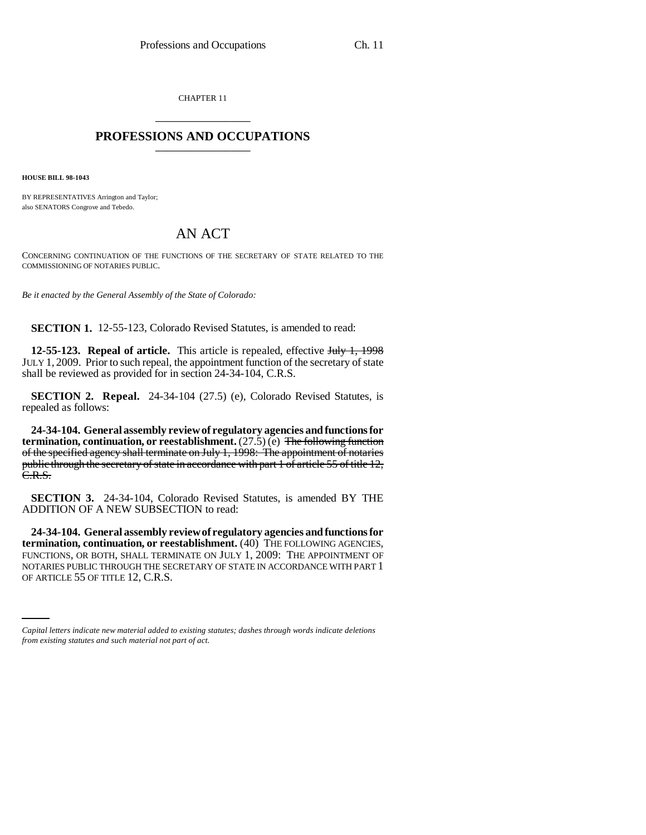CHAPTER 11 \_\_\_\_\_\_\_\_\_\_\_\_\_\_\_

## **PROFESSIONS AND OCCUPATIONS** \_\_\_\_\_\_\_\_\_\_\_\_\_\_\_

**HOUSE BILL 98-1043**

BY REPRESENTATIVES Arrington and Taylor; also SENATORS Congrove and Tebedo.

## AN ACT

CONCERNING CONTINUATION OF THE FUNCTIONS OF THE SECRETARY OF STATE RELATED TO THE COMMISSIONING OF NOTARIES PUBLIC.

*Be it enacted by the General Assembly of the State of Colorado:*

**SECTION 1.** 12-55-123, Colorado Revised Statutes, is amended to read:

**12-55-123. Repeal of article.** This article is repealed, effective July 1, 1998 JULY 1, 2009. Prior to such repeal, the appointment function of the secretary of state shall be reviewed as provided for in section 24-34-104, C.R.S.

**SECTION 2. Repeal.** 24-34-104 (27.5) (e), Colorado Revised Statutes, is repealed as follows:

**24-34-104. General assembly review of regulatory agencies and functions for termination, continuation, or reestablishment.**  $(27.5)$  (e) The following function of the specified agency shall terminate on July 1, 1998: The appointment of notaries public through the secretary of state in accordance with part 1 of article 55 of title 12, C.R.S.

**SECTION 3.** 24-34-104, Colorado Revised Statutes, is amended BY THE ADDITION OF A NEW SUBSECTION to read:

NOTARIES PUBLIC THROUGH THE SECRETARY OF STATE IN ACCORDANCE WITH PART 1 **24-34-104. General assembly review of regulatory agencies and functions for termination, continuation, or reestablishment.** (40) THE FOLLOWING AGENCIES, FUNCTIONS, OR BOTH, SHALL TERMINATE ON JULY 1, 2009: THE APPOINTMENT OF OF ARTICLE 55 OF TITLE 12, C.R.S.

*Capital letters indicate new material added to existing statutes; dashes through words indicate deletions from existing statutes and such material not part of act.*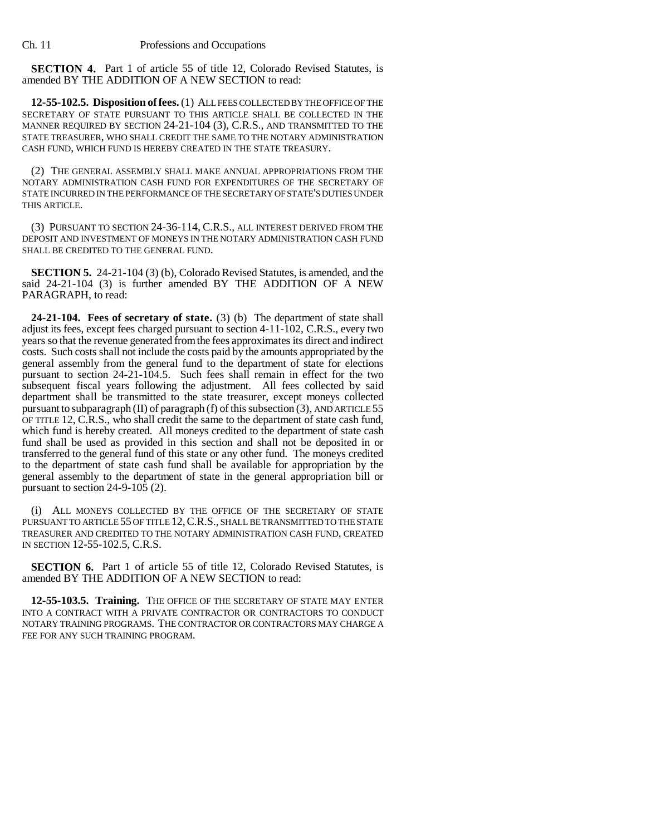**SECTION 4.** Part 1 of article 55 of title 12, Colorado Revised Statutes, is amended BY THE ADDITION OF A NEW SECTION to read:

**12-55-102.5. Disposition of fees.** (1) ALL FEES COLLECTED BY THE OFFICE OF THE SECRETARY OF STATE PURSUANT TO THIS ARTICLE SHALL BE COLLECTED IN THE MANNER REQUIRED BY SECTION 24-21-104 (3), C.R.S., AND TRANSMITTED TO THE STATE TREASURER, WHO SHALL CREDIT THE SAME TO THE NOTARY ADMINISTRATION CASH FUND, WHICH FUND IS HEREBY CREATED IN THE STATE TREASURY.

(2) THE GENERAL ASSEMBLY SHALL MAKE ANNUAL APPROPRIATIONS FROM THE NOTARY ADMINISTRATION CASH FUND FOR EXPENDITURES OF THE SECRETARY OF STATE INCURRED IN THE PERFORMANCE OF THE SECRETARY OF STATE'S DUTIES UNDER THIS ARTICLE.

(3) PURSUANT TO SECTION 24-36-114, C.R.S., ALL INTEREST DERIVED FROM THE DEPOSIT AND INVESTMENT OF MONEYS IN THE NOTARY ADMINISTRATION CASH FUND SHALL BE CREDITED TO THE GENERAL FUND.

**SECTION 5.** 24-21-104 (3) (b), Colorado Revised Statutes, is amended, and the said 24-21-104 (3) is further amended BY THE ADDITION OF A NEW PARAGRAPH, to read:

**24-21-104. Fees of secretary of state.** (3) (b) The department of state shall adjust its fees, except fees charged pursuant to section 4-11-102, C.R.S., every two years so that the revenue generated from the fees approximates its direct and indirect costs. Such costs shall not include the costs paid by the amounts appropriated by the general assembly from the general fund to the department of state for elections pursuant to section 24-21-104.5. Such fees shall remain in effect for the two subsequent fiscal years following the adjustment. All fees collected by said department shall be transmitted to the state treasurer, except moneys collected pursuant to subparagraph (II) of paragraph (f) of this subsection (3), AND ARTICLE 55 OF TITLE 12, C.R.S., who shall credit the same to the department of state cash fund, which fund is hereby created. All moneys credited to the department of state cash fund shall be used as provided in this section and shall not be deposited in or transferred to the general fund of this state or any other fund. The moneys credited to the department of state cash fund shall be available for appropriation by the general assembly to the department of state in the general appropriation bill or pursuant to section  $24-9-10\overline{5}$  (2).

(i) ALL MONEYS COLLECTED BY THE OFFICE OF THE SECRETARY OF STATE PURSUANT TO ARTICLE 55 OF TITLE 12, C.R.S., SHALL BE TRANSMITTED TO THE STATE TREASURER AND CREDITED TO THE NOTARY ADMINISTRATION CASH FUND, CREATED IN SECTION 12-55-102.5, C.R.S.

**SECTION 6.** Part 1 of article 55 of title 12, Colorado Revised Statutes, is amended BY THE ADDITION OF A NEW SECTION to read:

**12-55-103.5. Training.** THE OFFICE OF THE SECRETARY OF STATE MAY ENTER INTO A CONTRACT WITH A PRIVATE CONTRACTOR OR CONTRACTORS TO CONDUCT NOTARY TRAINING PROGRAMS. THE CONTRACTOR OR CONTRACTORS MAY CHARGE A FEE FOR ANY SUCH TRAINING PROGRAM.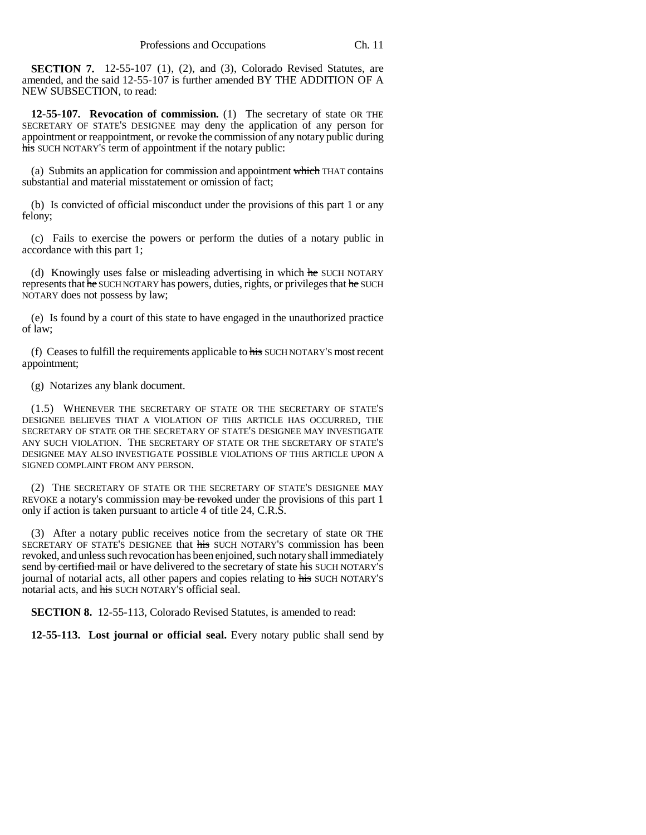**SECTION 7.** 12-55-107 (1), (2), and (3), Colorado Revised Statutes, are amended, and the said 12-55-107 is further amended BY THE ADDITION OF A NEW SUBSECTION, to read:

**12-55-107. Revocation of commission.** (1) The secretary of state OR THE SECRETARY OF STATE'S DESIGNEE may deny the application of any person for appointment or reappointment, or revoke the commission of any notary public during his SUCH NOTARY'S term of appointment if the notary public:

(a) Submits an application for commission and appointment which THAT contains substantial and material misstatement or omission of fact;

(b) Is convicted of official misconduct under the provisions of this part 1 or any felony;

(c) Fails to exercise the powers or perform the duties of a notary public in accordance with this part 1;

(d) Knowingly uses false or misleading advertising in which he SUCH NOTARY represents that he SUCH NOTARY has powers, duties, rights, or privileges that he SUCH NOTARY does not possess by law;

(e) Is found by a court of this state to have engaged in the unauthorized practice of law;

(f) Ceases to fulfill the requirements applicable to  $\frac{1}{100}$  SUCH NOTARY'S most recent appointment;

(g) Notarizes any blank document.

(1.5) WHENEVER THE SECRETARY OF STATE OR THE SECRETARY OF STATE'S DESIGNEE BELIEVES THAT A VIOLATION OF THIS ARTICLE HAS OCCURRED, THE SECRETARY OF STATE OR THE SECRETARY OF STATE'S DESIGNEE MAY INVESTIGATE ANY SUCH VIOLATION. THE SECRETARY OF STATE OR THE SECRETARY OF STATE'S DESIGNEE MAY ALSO INVESTIGATE POSSIBLE VIOLATIONS OF THIS ARTICLE UPON A SIGNED COMPLAINT FROM ANY PERSON.

(2) THE SECRETARY OF STATE OR THE SECRETARY OF STATE'S DESIGNEE MAY REVOKE a notary's commission may be revoked under the provisions of this part 1 only if action is taken pursuant to article 4 of title 24, C.R.S.

(3) After a notary public receives notice from the secretary of state OR THE SECRETARY OF STATE'S DESIGNEE that his SUCH NOTARY'S commission has been revoked, and unless such revocation has been enjoined, such notary shall immediately send by certified mail or have delivered to the secretary of state his SUCH NOTARY'S journal of notarial acts, all other papers and copies relating to his SUCH NOTARY'S notarial acts, and his SUCH NOTARY'S official seal.

**SECTION 8.** 12-55-113, Colorado Revised Statutes, is amended to read:

**12-55-113.** Lost journal or official seal. Every notary public shall send by